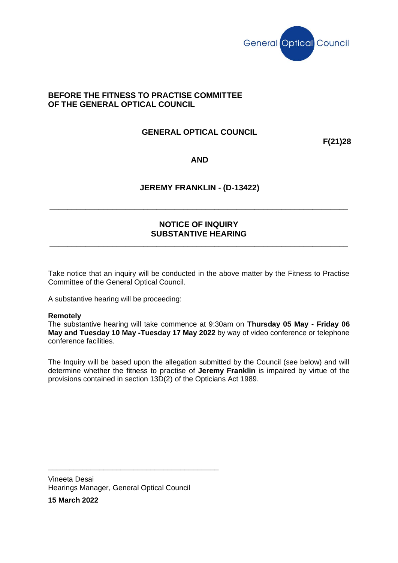

## **BEFORE THE FITNESS TO PRACTISE COMMITTEE OF THE GENERAL OPTICAL COUNCIL**

# **GENERAL OPTICAL COUNCIL**

**F(21)28**

### **AND**

### **JEREMY FRANKLIN - (D-13422)**

**\_\_\_\_\_\_\_\_\_\_\_\_\_\_\_\_\_\_\_\_\_\_\_\_\_\_\_\_\_\_\_\_\_\_\_\_\_\_\_\_\_\_\_\_\_\_\_\_\_\_\_\_\_\_\_\_\_\_\_\_\_\_\_\_\_\_\_**

## **NOTICE OF INQUIRY SUBSTANTIVE HEARING**

**\_\_\_\_\_\_\_\_\_\_\_\_\_\_\_\_\_\_\_\_\_\_\_\_\_\_\_\_\_\_\_\_\_\_\_\_\_\_\_\_\_\_\_\_\_\_\_\_\_\_\_\_\_\_\_\_\_\_\_\_\_\_\_\_\_\_\_**

Take notice that an inquiry will be conducted in the above matter by the Fitness to Practise Committee of the General Optical Council.

A substantive hearing will be proceeding:

#### **Remotely**

The substantive hearing will take commence at 9:30am on **Thursday 05 May - Friday 06 May and Tuesday 10 May -Tuesday 17 May 2022** by way of video conference or telephone conference facilities.

The Inquiry will be based upon the allegation submitted by the Council (see below) and will determine whether the fitness to practise of **Jeremy Franklin** is impaired by virtue of the provisions contained in section 13D(2) of the Opticians Act 1989.

Vineeta Desai Hearings Manager, General Optical Council

\_\_\_\_\_\_\_\_\_\_\_\_\_\_\_\_\_\_\_\_\_\_\_\_\_\_\_\_\_\_\_\_\_\_\_\_\_\_\_\_

**15 March 2022**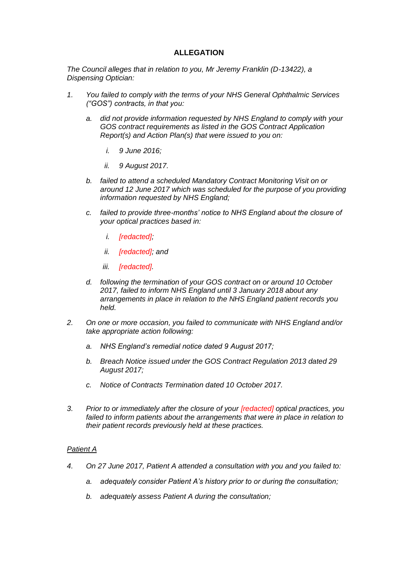### **ALLEGATION**

*The Council alleges that in relation to you, Mr Jeremy Franklin (D-13422), a Dispensing Optician:*

- *1. You failed to comply with the terms of your NHS General Ophthalmic Services ("GOS") contracts, in that you:*
	- *a. did not provide information requested by NHS England to comply with your GOS contract requirements as listed in the GOS Contract Application Report(s) and Action Plan(s) that were issued to you on:*
		- *i. 9 June 2016;*
		- *ii. 9 August 2017.*
	- *b. failed to attend a scheduled Mandatory Contract Monitoring Visit on or around 12 June 2017 which was scheduled for the purpose of you providing information requested by NHS England;*
	- *c. failed to provide three-months' notice to NHS England about the closure of your optical practices based in:*
		- *i. [redacted];*
		- *ii. [redacted]; and*
		- *iii. [redacted].*
	- *d. following the termination of your GOS contract on or around 10 October 2017, failed to inform NHS England until 3 January 2018 about any arrangements in place in relation to the NHS England patient records you held.*
- *2. On one or more occasion, you failed to communicate with NHS England and/or take appropriate action following:*
	- *a. NHS England's remedial notice dated 9 August 2017;*
	- *b. Breach Notice issued under the GOS Contract Regulation 2013 dated 29 August 2017;*
	- *c. Notice of Contracts Termination dated 10 October 2017.*
- *3. Prior to or immediately after the closure of your [redacted] optical practices, you failed to inform patients about the arrangements that were in place in relation to their patient records previously held at these practices.*

#### *Patient A*

- *4. On 27 June 2017, Patient A attended a consultation with you and you failed to:*
	- *a. adequately consider Patient A's history prior to or during the consultation;*
	- *b. adequately assess Patient A during the consultation;*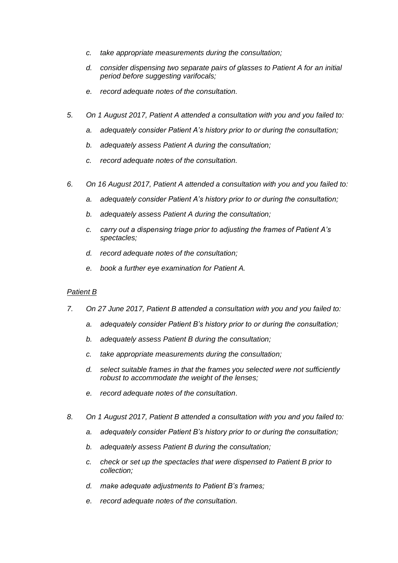- *c. take appropriate measurements during the consultation;*
- *d. consider dispensing two separate pairs of glasses to Patient A for an initial period before suggesting varifocals;*
- *e. record adequate notes of the consultation.*
- *5. On 1 August 2017, Patient A attended a consultation with you and you failed to:*
	- *a. adequately consider Patient A's history prior to or during the consultation;*
	- *b. adequately assess Patient A during the consultation;*
	- *c. record adequate notes of the consultation.*
- *6. On 16 August 2017, Patient A attended a consultation with you and you failed to:*
	- *a. adequately consider Patient A's history prior to or during the consultation;*
	- *b. adequately assess Patient A during the consultation;*
	- *c. carry out a dispensing triage prior to adjusting the frames of Patient A's spectacles;*
	- *d. record adequate notes of the consultation;*
	- *e. book a further eye examination for Patient A.*

#### *Patient B*

- *7. On 27 June 2017, Patient B attended a consultation with you and you failed to:*
	- *a. adequately consider Patient B's history prior to or during the consultation;*
	- *b. adequately assess Patient B during the consultation;*
	- *c. take appropriate measurements during the consultation;*
	- *d. select suitable frames in that the frames you selected were not sufficiently robust to accommodate the weight of the lenses;*
	- *e. record adequate notes of the consultation.*
- *8. On 1 August 2017, Patient B attended a consultation with you and you failed to:*
	- *a. adequately consider Patient B's history prior to or during the consultation;*
	- *b. adequately assess Patient B during the consultation;*
	- *c. check or set up the spectacles that were dispensed to Patient B prior to collection;*
	- *d. make adequate adjustments to Patient B's frames;*
	- *e. record adequate notes of the consultation.*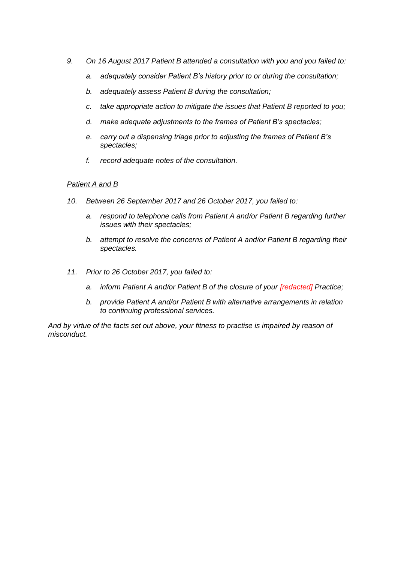- *9. On 16 August 2017 Patient B attended a consultation with you and you failed to:*
	- *a. adequately consider Patient B's history prior to or during the consultation;*
	- *b. adequately assess Patient B during the consultation;*
	- *c. take appropriate action to mitigate the issues that Patient B reported to you;*
	- *d. make adequate adjustments to the frames of Patient B's spectacles;*
	- *e. carry out a dispensing triage prior to adjusting the frames of Patient B's spectacles;*
	- *f. record adequate notes of the consultation.*

#### *Patient A and B*

- *10. Between 26 September 2017 and 26 October 2017, you failed to:*
	- *a. respond to telephone calls from Patient A and/or Patient B regarding further issues with their spectacles;*
	- *b. attempt to resolve the concerns of Patient A and/or Patient B regarding their spectacles.*
- *11. Prior to 26 October 2017, you failed to:*
	- *a. inform Patient A and/or Patient B of the closure of your [redacted] Practice;*
	- *b. provide Patient A and/or Patient B with alternative arrangements in relation to continuing professional services.*

*And by virtue of the facts set out above, your fitness to practise is impaired by reason of misconduct.*